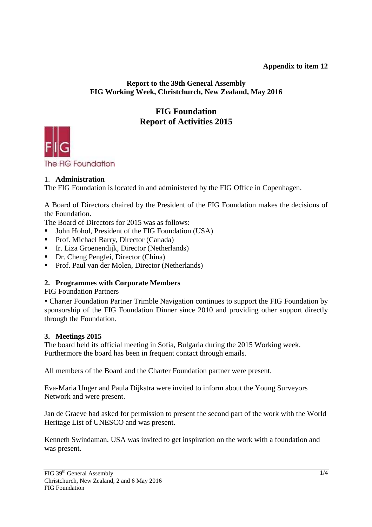# **Appendix to item 12**

#### **Report to the 39th General Assembly FIG Working Week, Christchurch, New Zealand, May 2016**

# **FIG Foundation Report of Activities 2015**



# 1. **Administration**

The FIG Foundation is located in and administered by the FIG Office in Copenhagen.

A Board of Directors chaired by the President of the FIG Foundation makes the decisions of the Foundation.

The Board of Directors for 2015 was as follows:

- John Hohol, President of the FIG Foundation (USA)
- Prof. Michael Barry, Director (Canada)
- Ir. Liza Groenendijk, Director (Netherlands)
- Dr. Cheng Pengfei, Director (China)
- Prof. Paul van der Molen, Director (Netherlands)

# **2. Programmes with Corporate Members**

FIG Foundation Partners

▪ Charter Foundation Partner Trimble Navigation continues to support the FIG Foundation by sponsorship of the FIG Foundation Dinner since 2010 and providing other support directly through the Foundation.

# **3. Meetings 2015**

The board held its official meeting in Sofia, Bulgaria during the 2015 Working week. Furthermore the board has been in frequent contact through emails.

All members of the Board and the Charter Foundation partner were present.

Eva-Maria Unger and Paula Dijkstra were invited to inform about the Young Surveyors Network and were present.

Jan de Graeve had asked for permission to present the second part of the work with the World Heritage List of UNESCO and was present.

Kenneth Swindaman, USA was invited to get inspiration on the work with a foundation and was present.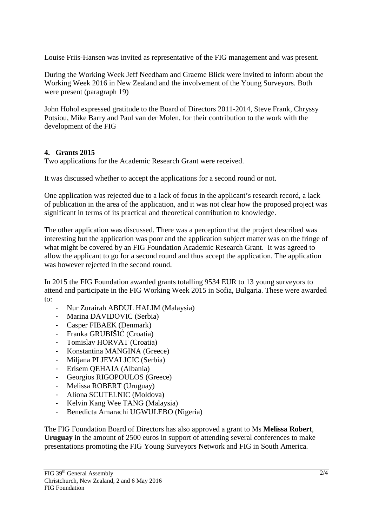Louise Friis-Hansen was invited as representative of the FIG management and was present.

During the Working Week Jeff Needham and Graeme Blick were invited to inform about the Working Week 2016 in New Zealand and the involvement of the Young Surveyors. Both were present (paragraph 19)

John Hohol expressed gratitude to the Board of Directors 2011-2014, Steve Frank, Chryssy Potsiou, Mike Barry and Paul van der Molen, for their contribution to the work with the development of the FIG

# **4. Grants 2015**

Two applications for the Academic Research Grant were received.

It was discussed whether to accept the applications for a second round or not.

One application was rejected due to a lack of focus in the applicant's research record, a lack of publication in the area of the application, and it was not clear how the proposed project was significant in terms of its practical and theoretical contribution to knowledge.

The other application was discussed. There was a perception that the project described was interesting but the application was poor and the application subject matter was on the fringe of what might be covered by an FIG Foundation Academic Research Grant. It was agreed to allow the applicant to go for a second round and thus accept the application. The application was however rejected in the second round.

In 2015 the FIG Foundation awarded grants totalling 9534 EUR to 13 young surveyors to attend and participate in the FIG Working Week 2015 in Sofia, Bulgaria. These were awarded to:

- Nur Zurairah ABDUL HALIM (Malaysia)
- Marina DAVIDOVIC (Serbia)
- Casper FIBAEK (Denmark)
- Franka GRUBIŠIĆ (Croatia)
- Tomislav HORVAT (Croatia)
- Konstantina MANGINA (Greece)
- Miljana PLJEVALJCIC (Serbia)
- Erisem OEHAJA (Albania)
- Georgios RIGOPOULOS (Greece)
- Melissa ROBERT (Uruguay)
- Aliona SCUTELNIC (Moldova)
- Kelvin Kang Wee TANG (Malaysia)
- Benedicta Amarachi UGWULEBO (Nigeria)

The FIG Foundation Board of Directors has also approved a grant to Ms **Melissa Robert**, **Uruguay** in the amount of 2500 euros in support of attending several conferences to make presentations promoting the FIG Young Surveyors Network and FIG in South America.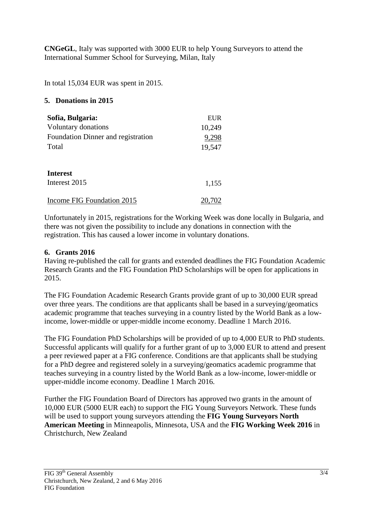**CNGeGL**, Italy was supported with 3000 EUR to help Young Surveyors to attend the International Summer School for Surveying, Milan, Italy

In total 15,034 EUR was spent in 2015.

#### **5. Donations in 2015**

| Sofia, Bulgaria:                   | EUR    |
|------------------------------------|--------|
| Voluntary donations                | 10,249 |
| Foundation Dinner and registration | 9,298  |
| Total                              | 19,547 |
|                                    |        |
| <b>Interest</b>                    |        |
| Interest 2015                      | 1,155  |
| Income FIG Foundation 2015         |        |
|                                    |        |

Unfortunately in 2015, registrations for the Working Week was done locally in Bulgaria, and there was not given the possibility to include any donations in connection with the registration. This has caused a lower income in voluntary donations.

#### **6. Grants 2016**

Having re-published the call for grants and extended deadlines the FIG Foundation Academic Research Grants and the FIG Foundation PhD Scholarships will be open for applications in 2015.

The FIG Foundation Academic Research Grants provide grant of up to 30,000 EUR spread over three years. The conditions are that applicants shall be based in a surveying/geomatics academic programme that teaches surveying in a country listed by the World Bank as a lowincome, lower-middle or upper-middle income economy. Deadline 1 March 2016.

The FIG Foundation PhD Scholarships will be provided of up to 4,000 EUR to PhD students. Successful applicants will qualify for a further grant of up to 3,000 EUR to attend and present a peer reviewed paper at a FIG conference. Conditions are that applicants shall be studying for a PhD degree and registered solely in a surveying/geomatics academic programme that teaches surveying in a country listed by the World Bank as a low-income, lower-middle or upper-middle income economy. Deadline 1 March 2016.

Further the FIG Foundation Board of Directors has approved two grants in the amount of 10,000 EUR (5000 EUR each) to support the FIG Young Surveyors Network. These funds will be used to support young surveyors attending the **FIG Young Surveyors North American Meeting** in Minneapolis, Minnesota, USA and the **FIG Working Week 2016** in Christchurch, New Zealand